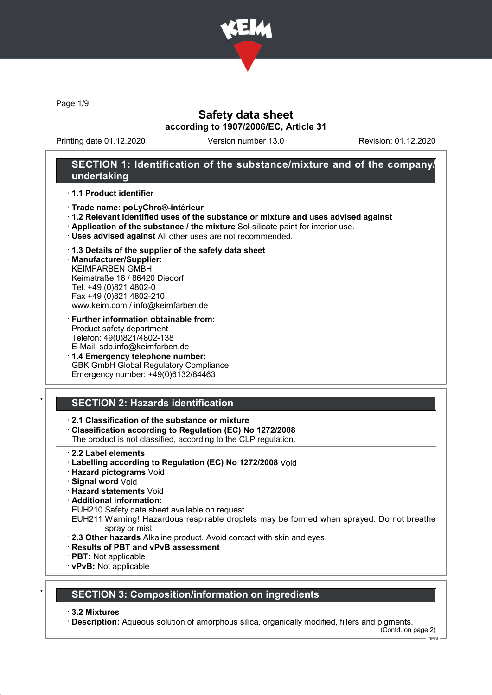

Page 1/9

## Safety data sheet according to 1907/2006/EC, Article 31

Printing date 01.12.2020 Version number 13.0 Revision: 01.12.2020

## SECTION 1: Identification of the substance/mixture and of the company/ undertaking

#### · 1.1 Product identifier

- · Trade name: poLyChro®-intérieur
- · 1.2 Relevant identified uses of the substance or mixture and uses advised against
- · Application of the substance / the mixture Sol-silicate paint for interior use.
- · Uses advised against All other uses are not recommended.
- · 1.3 Details of the supplier of the safety data sheet

· Manufacturer/Supplier: KEIMFARBEN GMBH Keimstraße 16 / 86420 Diedorf Tel. +49 (0)821 4802-0 Fax +49 (0)821 4802-210 www.keim.com / info@keimfarben.de

- · Further information obtainable from: Product safety department Telefon: 49(0)821/4802-138 E-Mail: sdb.info@keimfarben.de
- · 1.4 Emergency telephone number: GBK GmbH Global Regulatory Compliance Emergency number: +49(0)6132/84463

## **SECTION 2: Hazards identification**

## · 2.1 Classification of the substance or mixture

· Classification according to Regulation (EC) No 1272/2008

The product is not classified, according to the CLP regulation.

- · 2.2 Label elements
- · Labelling according to Regulation (EC) No 1272/2008 Void
- · Hazard pictograms Void
- · Signal word Void
- · Hazard statements Void
- · Additional information:
- EUH210 Safety data sheet available on request.
- EUH211 Warning! Hazardous respirable droplets may be formed when sprayed. Do not breathe spray or mist.
- · 2.3 Other hazards Alkaline product. Avoid contact with skin and eyes.
- · Results of PBT and vPvB assessment
- · PBT: Not applicable
- · vPvB: Not applicable

## **SECTION 3: Composition/information on ingredients**

#### · 3.2 Mixtures

· Description: Aqueous solution of amorphous silica, organically modified, fillers and pigments.

(Contd. on page 2)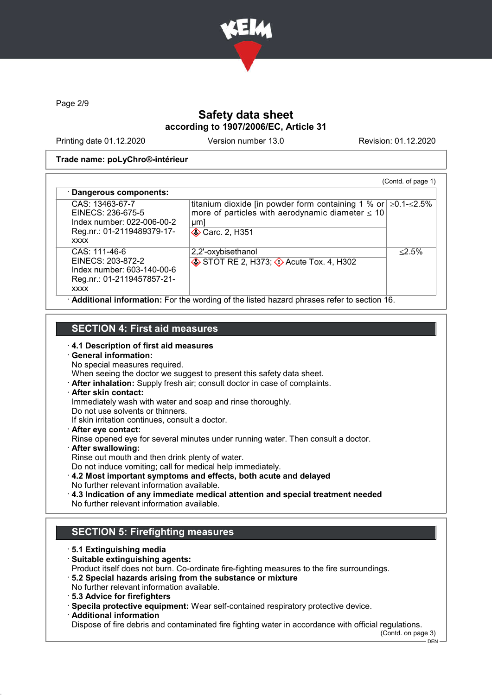

Page 2/9

## Safety data sheet according to 1907/2006/EC, Article 31

Printing date 01.12.2020 Version number 13.0 Revision: 01.12.2020

#### Trade name: poLyChro®-intérieur

| · Dangerous components:                                                                                         |                                                                                                                                                                     |           |
|-----------------------------------------------------------------------------------------------------------------|---------------------------------------------------------------------------------------------------------------------------------------------------------------------|-----------|
| CAS: 13463-67-7<br>EINECS: 236-675-5<br>Index number: 022-006-00-2<br>Reg.nr.: 01-2119489379-17-<br><b>XXXX</b> | titanium dioxide [in powder form containing 1 % or $\geq$ 0.1- $\leq$ 2.5%<br>more of particles with aerodynamic diameter $\leq 10$<br>µm<br><b>◆ Carc. 2, H351</b> |           |
| CAS: 111-46-6<br>EINECS: 203-872-2<br>Index number: 603-140-00-6<br>Reg.nr.: 01-2119457857-21-<br><b>XXXX</b>   | 2,2'-oxybisethanol<br>STOT RE 2, H373; $\Diamond$ Acute Tox. 4, H302                                                                                                | $< 2.5\%$ |

## SECTION 4: First aid measures

- 
- · 4.1 Description of first aid measures

# · General information:

- No special measures required. When seeing the doctor we suggest to present this safety data sheet.
- · After inhalation: Supply fresh air; consult doctor in case of complaints.

#### · After skin contact:

Immediately wash with water and soap and rinse thoroughly.

- Do not use solvents or thinners.
- If skin irritation continues, consult a doctor.
- · After eye contact:

Rinse opened eye for several minutes under running water. Then consult a doctor.

- · After swallowing:
- Rinse out mouth and then drink plenty of water.

Do not induce vomiting; call for medical help immediately.

- · 4.2 Most important symptoms and effects, both acute and delayed No further relevant information available.
- · 4.3 Indication of any immediate medical attention and special treatment needed No further relevant information available.

## SECTION 5: Firefighting measures

- · 5.1 Extinguishing media
- · Suitable extinguishing agents:

Product itself does not burn. Co-ordinate fire-fighting measures to the fire surroundings.

- · 5.2 Special hazards arising from the substance or mixture No further relevant information available.
- · 5.3 Advice for firefighters
- · Specila protective equipment: Wear self-contained respiratory protective device.
- · Additional information

Dispose of fire debris and contaminated fire fighting water in accordance with official regulations.

(Contd. on page 3)

DEN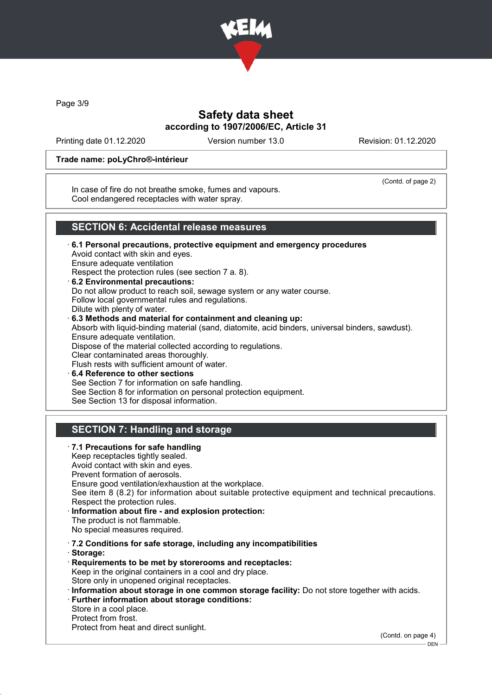

Page 3/9

## Safety data sheet according to 1907/2006/EC, Article 31

Printing date 01.12.2020 Version number 13.0 Revision: 01.12.2020

#### Trade name: poLyChro®-intérieur

(Contd. of page 2)

In case of fire do not breathe smoke, fumes and vapours. Cool endangered receptacles with water spray.

## SECTION 6: Accidental release measures

- · 6.1 Personal precautions, protective equipment and emergency procedures Avoid contact with skin and eyes. Ensure adequate ventilation Respect the protection rules (see section 7 a. 8). · 6.2 Environmental precautions: Do not allow product to reach soil, sewage system or any water course.
- Follow local governmental rules and regulations. Dilute with plenty of water. · 6.3 Methods and material for containment and cleaning up: Absorb with liquid-binding material (sand, diatomite, acid binders, universal binders, sawdust). Ensure adequate ventilation. Dispose of the material collected according to regulations. Clear contaminated areas thoroughly. Flush rests with sufficient amount of water. · 6.4 Reference to other sections See Section 7 for information on safe handling. See Section 8 for information on personal protection equipment.
- See Section 13 for disposal information.

## SECTION 7: Handling and storage

· 7.1 Precautions for safe handling Keep receptacles tightly sealed. Avoid contact with skin and eyes. Prevent formation of aerosols. Ensure good ventilation/exhaustion at the workplace. See item 8 (8.2) for information about suitable protective equipment and technical precautions. Respect the protection rules. Information about fire - and explosion protection: The product is not flammable. No special measures required. · 7.2 Conditions for safe storage, including any incompatibilities · Storage: · Requirements to be met by storerooms and receptacles: Keep in the original containers in a cool and dry place. Store only in unopened original receptacles. · Information about storage in one common storage facility: Do not store together with acids. · Further information about storage conditions: Store in a cool place. Protect from frost. Protect from heat and direct sunlight.

(Contd. on page 4)

DEN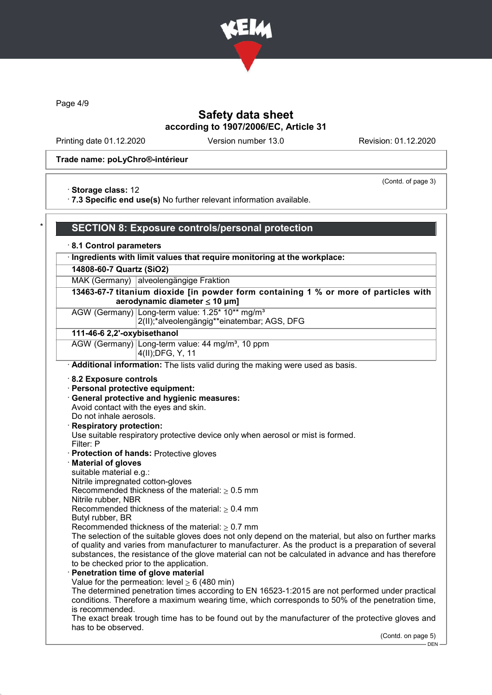

Page 4/9

## Safety data sheet according to 1907/2006/EC, Article 31

Printing date 01.12.2020 Version number 13.0 Revision: 01.12.2020

(Contd. of page 3)

#### Trade name: poLyChro®-intérieur

· Storage class: 12

· 7.3 Specific end use(s) No further relevant information available.

#### SECTION 8: Exposure controls/personal protection · 8.1 Control parameters · Ingredients with limit values that require monitoring at the workplace: 14808-60-7 Quartz (SiO2) MAK (Germany) alveolengängige Fraktion 13463-67-7 titanium dioxide [in powder form containing 1 % or more of particles with aerodynamic diameter ≤ 10 μm] AGW (Germany) Long-term value: 1.25\* 10\*\* mg/m<sup>3</sup> 2(II);\*alveolengängig\*\*einatembar; AGS, DFG 111-46-6 2,2'-oxybisethanol AGW (Germany) Long-term value: 44 mg/m<sup>3</sup>, 10 ppm 4(II);DFG, Y, 11 · Additional information: The lists valid during the making were used as basis. · 8.2 Exposure controls · Personal protective equipment: · General protective and hygienic measures: Avoid contact with the eyes and skin. Do not inhale aerosols. Respiratory protection: Use suitable respiratory protective device only when aerosol or mist is formed. Filter: P · Protection of hands: Protective gloves · Material of gloves suitable material e.g.: Nitrile impregnated cotton-gloves Recommended thickness of the material:  $\geq 0.5$  mm Nitrile rubber, NBR Recommended thickness of the material:  $\geq 0.4$  mm Butyl rubber, BR Recommended thickness of the material:  $\geq 0.7$  mm The selection of the suitable gloves does not only depend on the material, but also on further marks of quality and varies from manufacturer to manufacturer. As the product is a preparation of several substances, the resistance of the glove material can not be calculated in advance and has therefore to be checked prior to the application. Penetration time of glove material Value for the permeation: level  $> 6$  (480 min) The determined penetration times according to EN 16523-1:2015 are not performed under practical conditions. Therefore a maximum wearing time, which corresponds to 50% of the penetration time, is recommended. The exact break trough time has to be found out by the manufacturer of the protective gloves and has to be observed. (Contd. on page 5) DEN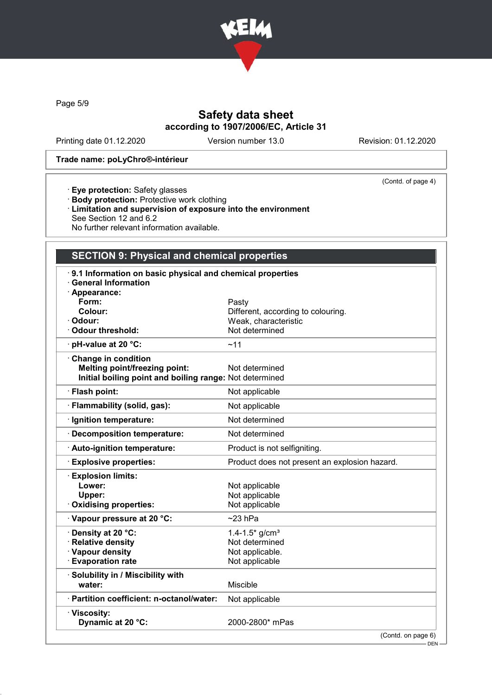

Page 5/9

## Safety data sheet according to 1907/2006/EC, Article 31

Printing date 01.12.2020 Version number 13.0 Revision: 01.12.2020

(Contd. of page 4)

#### Trade name: poLyChro®-intérieur

- · Eye protection: Safety glasses
- · Body protection: Protective work clothing
- · Limitation and supervision of exposure into the environment See Section 12 and 6.2
- No further relevant information available.

## SECTION 9: Physical and chemical properties

| 9.1 Information on basic physical and chemical properties<br><b>General Information</b><br>· Appearance: |                                               |
|----------------------------------------------------------------------------------------------------------|-----------------------------------------------|
| Form:                                                                                                    | Pasty                                         |
| Colour:                                                                                                  | Different, according to colouring.            |
| · Odour:                                                                                                 | Weak, characteristic                          |
| Odour threshold:                                                                                         | Not determined                                |
| · pH-value at 20 °C:                                                                                     | ~11                                           |
| Change in condition                                                                                      |                                               |
| <b>Melting point/freezing point:</b>                                                                     | Not determined                                |
| Initial boiling point and boiling range: Not determined                                                  |                                               |
| · Flash point:                                                                                           | Not applicable                                |
| · Flammability (solid, gas):                                                                             | Not applicable                                |
| · Ignition temperature:                                                                                  | Not determined                                |
| <b>Decomposition temperature:</b>                                                                        | Not determined                                |
| · Auto-ignition temperature:                                                                             | Product is not selfigniting.                  |
| <b>Explosive properties:</b>                                                                             | Product does not present an explosion hazard. |
| <b>Explosion limits:</b>                                                                                 |                                               |
| Lower:                                                                                                   | Not applicable                                |
| Upper:                                                                                                   | Not applicable                                |
| Oxidising properties:                                                                                    | Not applicable                                |
| Vapour pressure at 20 °C:                                                                                | $~23$ hPa                                     |
| Density at 20 °C:                                                                                        | $1.4 - 1.5*$ g/cm <sup>3</sup>                |
| <b>Relative density</b>                                                                                  | Not determined                                |
| · Vapour density                                                                                         | Not applicable.                               |
| <b>Evaporation rate</b>                                                                                  | Not applicable                                |
| · Solubility in / Miscibility with                                                                       |                                               |
| water:                                                                                                   | Miscible                                      |
| · Partition coefficient: n-octanol/water:                                                                | Not applicable                                |
| · Viscosity:                                                                                             |                                               |
| Dynamic at 20 °C:                                                                                        | 2000-2800* mPas                               |
|                                                                                                          | (Contd, on nge 6)                             |

(Contd. on page 6)

 $-$  DEN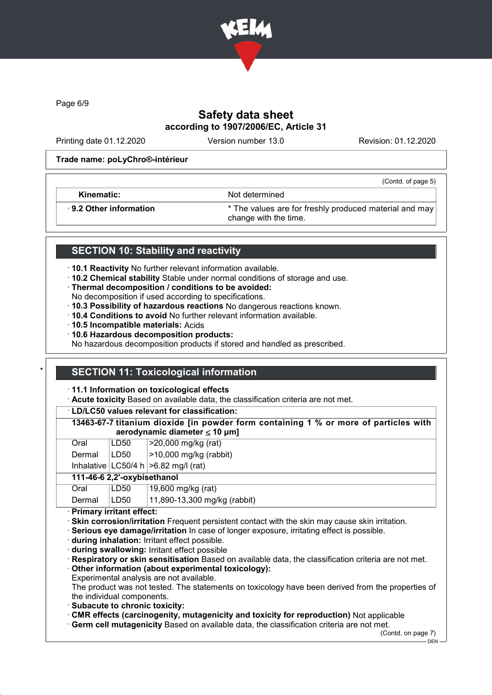

Page 6/9

## Safety data sheet according to 1907/2006/EC, Article 31

Printing date 01.12.2020 Version number 13.0 Revision: 01.12.2020

(Contd. of page 5)

#### Trade name: poLyChro®-intérieur

Kinematic: Not determined

· 9.2 Other information \* The values are for freshly produced material and may change with the time.

## SECTION 10: Stability and reactivity

- · 10.1 Reactivity No further relevant information available.
- · 10.2 Chemical stability Stable under normal conditions of storage and use.
- · Thermal decomposition / conditions to be avoided:
- No decomposition if used according to specifications.
- · 10.3 Possibility of hazardous reactions No dangerous reactions known.
- · 10.4 Conditions to avoid No further relevant information available.
- · 10.5 Incompatible materials: Acids
- · 10.6 Hazardous decomposition products:
- No hazardous decomposition products if stored and handled as prescribed.

## **SECTION 11: Toxicological information**

#### · 11.1 Information on toxicological effects

· Acute toxicity Based on available data, the classification criteria are not met.

· LD/LC50 values relevant for classification:

13463-67-7 titanium dioxide [in powder form containing 1 % or more of particles with aerodynamic diameter  $\leq 10$  µm]

| Oral   | LD50       | $ >$ 20,000 mg/kg (rat)   |
|--------|------------|---------------------------|
| Dermal | LD50       | $ >10,000$ mg/kg (rabbit) |
|        | . <b>.</b> |                           |

Inhalative  $|LOG0/4 h| > 6.82$  mg/l (rat)

# 111-46-6 2,2'-oxybisethanol

| Oral          | LD50 | $\vert$ 19,600 mg/kg (rat)     |  |  |
|---------------|------|--------------------------------|--|--|
| Dermal   LD50 |      | $11,890-13,300$ mg/kg (rabbit) |  |  |
|               |      |                                |  |  |

· Primary irritant effect:

- · Skin corrosion/irritation Frequent persistent contact with the skin may cause skin irritation.
- · Serious eye damage/irritation In case of longer exposure, irritating effect is possible.
- · during inhalation: Irritant effect possible.
- · during swallowing: Irritant effect possible
- · Respiratory or skin sensitisation Based on available data, the classification criteria are not met.

### · Other information (about experimental toxicology):

Experimental analysis are not available.

The product was not tested. The statements on toxicology have been derived from the properties of the individual components.

- · Subacute to chronic toxicity:
- · CMR effects (carcinogenity, mutagenicity and toxicity for reproduction) Not applicable
- · Germ cell mutagenicity Based on available data, the classification criteria are not met.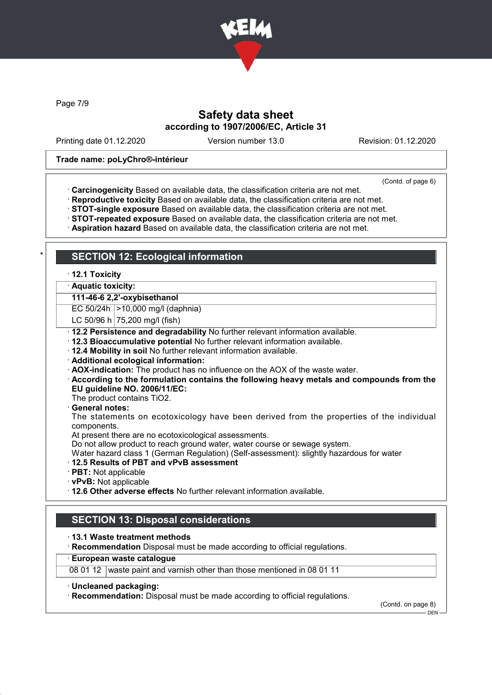

Page 7/9

## Safety data sheet according to 1907/2006/EC, Article 31

Printing date 01.12.2020 Version number 13.0 Revision: 01.12.2020

#### Trade name: poLyChro®-intérieur

(Contd. of page 6)

- · Carcinogenicity Based on available data, the classification criteria are not met.
- · Reproductive toxicity Based on available data, the classification criteria are not met.
- · STOT-single exposure Based on available data, the classification criteria are not met.
- · STOT-repeated exposure Based on available data, the classification criteria are not met.
- · Aspiration hazard Based on available data, the classification criteria are not met.

## **SECTION 12: Ecological information**

### · 12.1 Toxicity

· Aquatic toxicity:

111-46-6 2,2'-oxybisethanol

EC 50/24h | > 10,000 mg/l (daphnia)

- LC 50/96 h  $75,200$  mg/l (fish)
- · 12.2 Persistence and degradability No further relevant information available.
- · 12.3 Bioaccumulative potential No further relevant information available.
- · 12.4 Mobility in soil No further relevant information available.
- · Additional ecological information:
- · AOX-indication: The product has no influence on the AOX of the waste water.
- · According to the formulation contains the following heavy metals and compounds from the EU guideline NO. 2006/11/EC:

The product contains TiO2.

General notes:

The statements on ecotoxicology have been derived from the properties of the individual components.

At present there are no ecotoxicological assessments.

Do not allow product to reach ground water, water course or sewage system.

Water hazard class 1 (German Regulation) (Self-assessment): slightly hazardous for water

- · 12.5 Results of PBT and vPvB assessment
- · PBT: Not applicable
- · vPvB: Not applicable
- · 12.6 Other adverse effects No further relevant information available.

## SECTION 13: Disposal considerations

· 13.1 Waste treatment methods

· Recommendation Disposal must be made according to official regulations.

#### European waste catalogue

08 01 12 waste paint and varnish other than those mentioned in 08 01 11

- · Uncleaned packaging:
- · Recommendation: Disposal must be made according to official regulations.

(Contd. on page 8)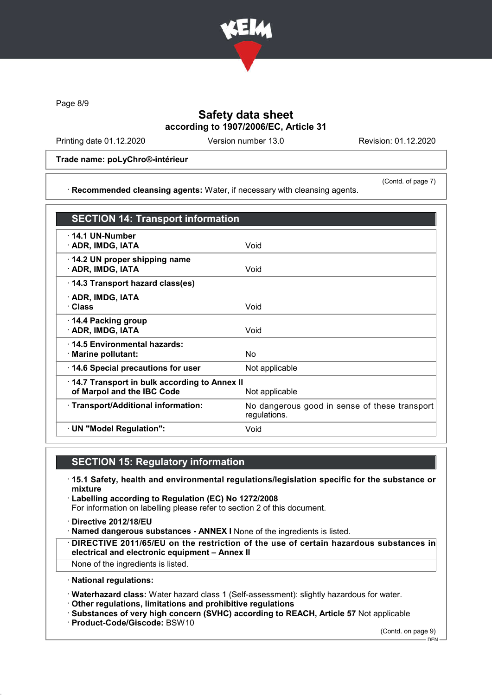

Page 8/9

## Safety data sheet according to 1907/2006/EC, Article 31

Printing date 01.12.2020 Version number 13.0 Revision: 01.12.2020

(Contd. of page 7)

#### Trade name: poLyChro®-intérieur

· Recommended cleansing agents: Water, if necessary with cleansing agents.

SECTION 14: Transport information · 14.1 UN-Number · ADR, IMDG, IATA Void · 14.2 UN proper shipping name **ADR, IMDG, IATA** Void · 14.3 Transport hazard class(es) · ADR, IMDG, IATA · Class Void · 14.4 Packing group · ADR, IMDG, IATA Void · 14.5 Environmental hazards: · Marine pollutant: No · 14.6 Special precautions for user Mot applicable · 14.7 Transport in bulk according to Annex II of Marpol and the IBC Code Not applicable · Transport/Additional information: No dangerous good in sense of these transport regulations. · UN "Model Regulation": Void

## SECTION 15: Regulatory information

- · 15.1 Safety, health and environmental regulations/legislation specific for the substance or mixture
- · Labelling according to Regulation (EC) No 1272/2008 For information on labelling please refer to section 2 of this document.
- · Directive 2012/18/EU
- · Named dangerous substances ANNEX I None of the ingredients is listed.
- · DIRECTIVE 2011/65/EU on the restriction of the use of certain hazardous substances in electrical and electronic equipment – Annex II
- None of the ingredients is listed.
- · National regulations:
- · Waterhazard class: Water hazard class 1 (Self-assessment): slightly hazardous for water.
- · Other regulations, limitations and prohibitive regulations

· Substances of very high concern (SVHC) according to REACH, Article 57 Not applicable

· Product-Code/Giscode: BSW10

(Contd. on page 9)